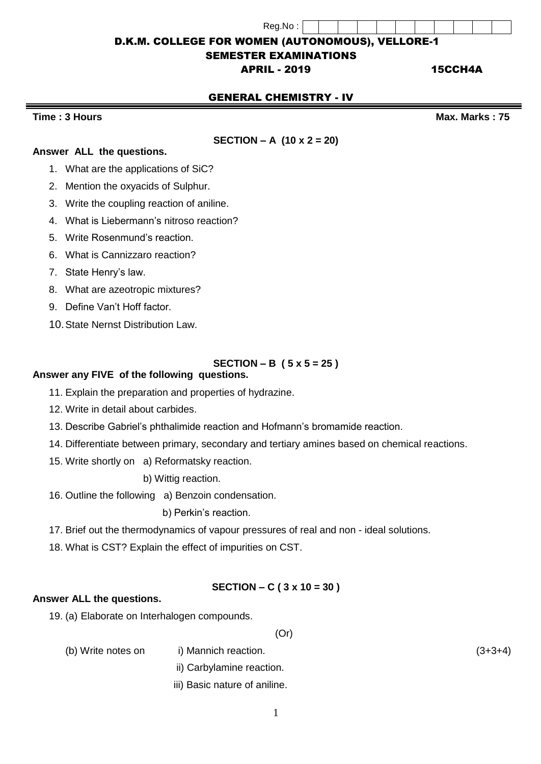| Reg.No : |  |  |  |  |  |
|----------|--|--|--|--|--|

# D.K.M. COLLEGE FOR WOMEN (AUTONOMOUS), VELLORE-1

# SEMESTER EXAMINATIONS

# APRIL - 2019 15CCH4A

# GENERAL CHEMISTRY - IV

**Time : 3 Hours Max.** Marks : 75

### **SECTION – A (10 x 2 = 20)**

#### **Answer ALL the questions.**

- 1. What are the applications of SiC?
- 2. Mention the oxyacids of Sulphur.
- 3. Write the coupling reaction of aniline.
- 4. What is Liebermann's nitroso reaction?
- 5. Write Rosenmund's reaction.
- 6. What is Cannizzaro reaction?
- 7. State Henry's law.
- 8. What are azeotropic mixtures?
- 9. Define Van't Hoff factor.
- 10.State Nernst Distribution Law.

## **SECTION – B ( 5 x 5 = 25 )**

#### **Answer any FIVE of the following questions.**

- 11. Explain the preparation and properties of hydrazine.
- 12. Write in detail about carbides.
- 13. Describe Gabriel's phthalimide reaction and Hofmann's bromamide reaction.
- 14. Differentiate between primary, secondary and tertiary amines based on chemical reactions.
- 15. Write shortly on a) Reformatsky reaction.

b) Wittig reaction.

16. Outline the following a) Benzoin condensation.

b) Perkin's reaction.

17. Brief out the thermodynamics of vapour pressures of real and non - ideal solutions.

18. What is CST? Explain the effect of impurities on CST.

### **SECTION – C ( 3 x 10 = 30 )**

#### **Answer ALL the questions.**

19. (a) Elaborate on Interhalogen compounds.

(Or)

(b) Write notes on i) Mannich reaction. (3+3+4)

- ii) Carbylamine reaction.
- iii) Basic nature of aniline.